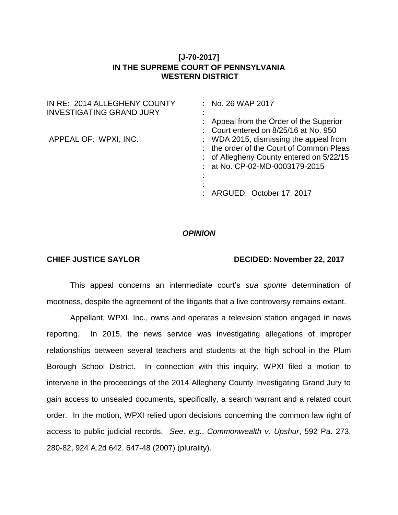## **[J-70-2017] IN THE SUPREME COURT OF PENNSYLVANIA WESTERN DISTRICT**

| IN RE: 2014 ALLEGHENY COUNTY<br><b>INVESTIGATING GRAND JURY</b> | $:$ No. 26 WAP 2017                                                                                                                                                                |
|-----------------------------------------------------------------|------------------------------------------------------------------------------------------------------------------------------------------------------------------------------------|
|                                                                 | : Appeal from the Order of the Superior<br>: Court entered on $8/25/16$ at No. 950                                                                                                 |
| APPEAL OF: WPXI, INC.                                           | : WDA 2015, dismissing the appeal from<br>: the order of the Court of Common Pleas<br>: of Allegheny County entered on 5/22/15<br>: at No. CP-02-MD-0003179-2015<br>$\blacksquare$ |
|                                                                 | : ARGUED: October 17, 2017                                                                                                                                                         |

## *OPINION*

## **CHIEF JUSTICE SAYLOR DECIDED: November 22, 2017**

This appeal concerns an intermediate court's *sua sponte* determination of mootness, despite the agreement of the litigants that a live controversy remains extant.

Appellant, WPXI, Inc., owns and operates a television station engaged in news reporting. In 2015, the news service was investigating allegations of improper relationships between several teachers and students at the high school in the Plum Borough School District. In connection with this inquiry, WPXI filed a motion to intervene in the proceedings of the 2014 Allegheny County Investigating Grand Jury to gain access to unsealed documents, specifically, a search warrant and a related court order. In the motion, WPXI relied upon decisions concerning the common law right of access to public judicial records. *See, e.g.*, *Commonwealth v. Upshur*, 592 Pa. 273, 280-82, 924 A.2d 642, 647-48 (2007) (plurality).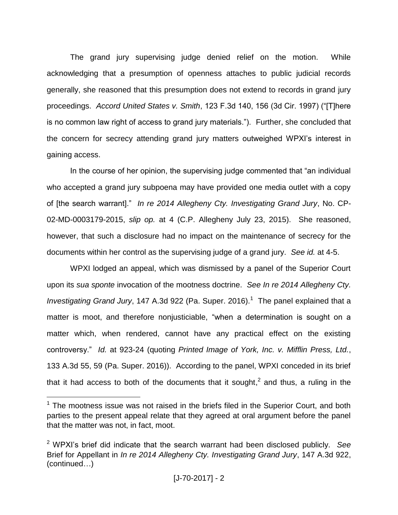The grand jury supervising judge denied relief on the motion. While acknowledging that a presumption of openness attaches to public judicial records generally, she reasoned that this presumption does not extend to records in grand jury proceedings. *Accord United States v. Smith*, 123 F.3d 140, 156 (3d Cir. 1997) ("[T]here is no common law right of access to grand jury materials."). Further, she concluded that the concern for secrecy attending grand jury matters outweighed WPXI's interest in gaining access.

In the course of her opinion, the supervising judge commented that "an individual who accepted a grand jury subpoena may have provided one media outlet with a copy of [the search warrant]." *In re 2014 Allegheny Cty. Investigating Grand Jury*, No. CP-02-MD-0003179-2015, *slip op.* at 4 (C.P. Allegheny July 23, 2015). She reasoned, however, that such a disclosure had no impact on the maintenance of secrecy for the documents within her control as the supervising judge of a grand jury. *See id.* at 4-5.

WPXI lodged an appeal, which was dismissed by a panel of the Superior Court upon its *sua sponte* invocation of the mootness doctrine. *See In re 2014 Allegheny Cty.* Investigating Grand Jury, 147 A.3d 922 (Pa. Super. 2016).<sup>1</sup> The panel explained that a matter is moot, and therefore nonjusticiable, "when a determination is sought on a matter which, when rendered, cannot have any practical effect on the existing controversy." *Id.* at 923-24 (quoting *Printed Image of York, Inc. v. Mifflin Press, Ltd.*, 133 A.3d 55, 59 (Pa. Super. 2016)). According to the panel, WPXI conceded in its brief that it had access to both of the documents that it sought,<sup>2</sup> and thus, a ruling in the

 $\overline{a}$ 

 $1$  The mootness issue was not raised in the briefs filed in the Superior Court, and both parties to the present appeal relate that they agreed at oral argument before the panel that the matter was not, in fact, moot.

<sup>2</sup> WPXI's brief did indicate that the search warrant had been disclosed publicly. *See*  Brief for Appellant in *In re 2014 Allegheny Cty. Investigating Grand Jury*, 147 A.3d 922, (continued…)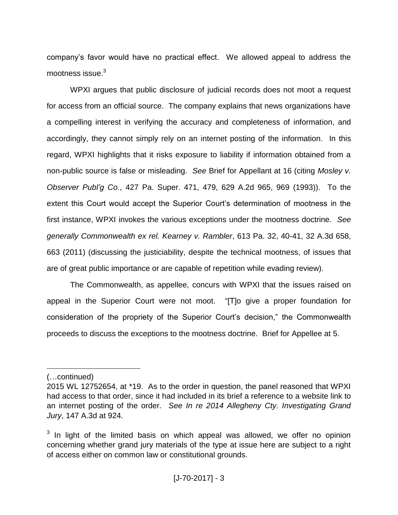company's favor would have no practical effect. We allowed appeal to address the mootness issue.<sup>3</sup>

WPXI argues that public disclosure of judicial records does not moot a request for access from an official source. The company explains that news organizations have a compelling interest in verifying the accuracy and completeness of information, and accordingly, they cannot simply rely on an internet posting of the information. In this regard, WPXI highlights that it risks exposure to liability if information obtained from a non-public source is false or misleading. *See* Brief for Appellant at 16 (citing *Mosley v. Observer Publ'g Co.*, 427 Pa. Super. 471, 479, 629 A.2d 965, 969 (1993)). To the extent this Court would accept the Superior Court's determination of mootness in the first instance, WPXI invokes the various exceptions under the mootness doctrine. *See generally Commonwealth ex rel. Kearney v. Rambler*, 613 Pa. 32, 40-41, 32 A.3d 658, 663 (2011) (discussing the justiciability, despite the technical mootness, of issues that are of great public importance or are capable of repetition while evading review).

The Commonwealth, as appellee, concurs with WPXI that the issues raised on appeal in the Superior Court were not moot. "[T]o give a proper foundation for consideration of the propriety of the Superior Court's decision," the Commonwealth proceeds to discuss the exceptions to the mootness doctrine. Brief for Appellee at 5.

 $\overline{a}$ 

<sup>(…</sup>continued)

<sup>2015</sup> WL 12752654, at \*19. As to the order in question, the panel reasoned that WPXI had access to that order, since it had included in its brief a reference to a website link to an internet posting of the order. *See In re 2014 Allegheny Cty. Investigating Grand Jury*, 147 A.3d at 924.

 $3$  In light of the limited basis on which appeal was allowed, we offer no opinion concerning whether grand jury materials of the type at issue here are subject to a right of access either on common law or constitutional grounds.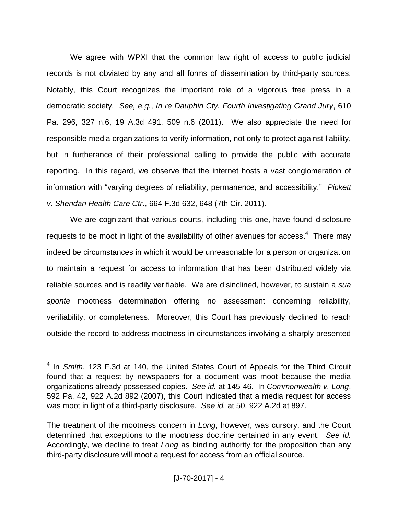We agree with WPXI that the common law right of access to public judicial records is not obviated by any and all forms of dissemination by third-party sources. Notably, this Court recognizes the important role of a vigorous free press in a democratic society. *See, e.g.*, *In re Dauphin Cty. Fourth Investigating Grand Jury*, 610 Pa. 296, 327 n.6, 19 A.3d 491, 509 n.6 (2011). We also appreciate the need for responsible media organizations to verify information, not only to protect against liability, but in furtherance of their professional calling to provide the public with accurate reporting. In this regard, we observe that the internet hosts a vast conglomeration of information with "varying degrees of reliability, permanence, and accessibility." *Pickett v. Sheridan Health Care Ctr.*, 664 F.3d 632, 648 (7th Cir. 2011).

We are cognizant that various courts, including this one, have found disclosure requests to be moot in light of the availability of other avenues for access. $4$  There may indeed be circumstances in which it would be unreasonable for a person or organization to maintain a request for access to information that has been distributed widely via reliable sources and is readily verifiable. We are disinclined, however, to sustain a *sua sponte* mootness determination offering no assessment concerning reliability, verifiability, or completeness. Moreover, this Court has previously declined to reach outside the record to address mootness in circumstances involving a sharply presented

 $\overline{a}$ 

<sup>4</sup> In *Smith*, 123 F.3d at 140, the United States Court of Appeals for the Third Circuit found that a request by newspapers for a document was moot because the media organizations already possessed copies. *See id.* at 145-46. In *Commonwealth v. Long*, 592 Pa. 42, 922 A.2d 892 (2007), this Court indicated that a media request for access was moot in light of a third-party disclosure. *See id.* at 50, 922 A.2d at 897.

The treatment of the mootness concern in *Long*, however, was cursory, and the Court determined that exceptions to the mootness doctrine pertained in any event. *See id.* Accordingly, we decline to treat *Long* as binding authority for the proposition than any third-party disclosure will moot a request for access from an official source.